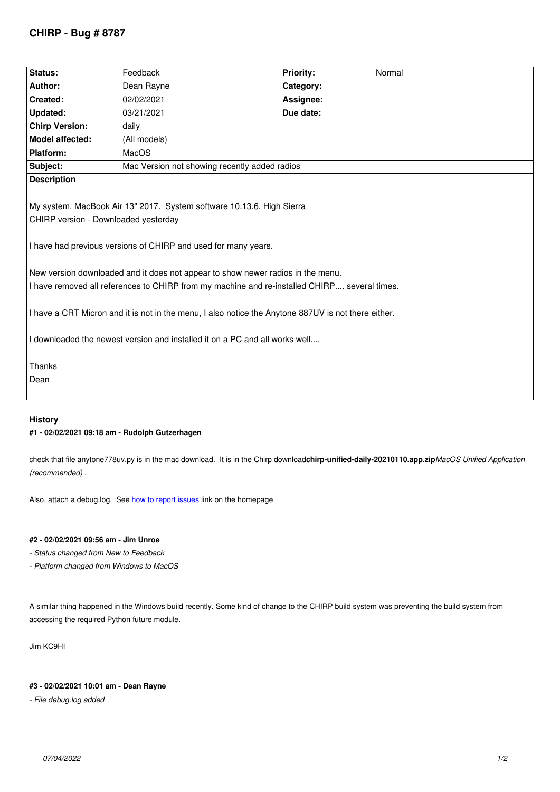| Status:                                                | Feedback                                                                                                                                                                                                                                                                                                                                                                                                                                                                                                         | <b>Priority:</b><br>Normal |
|--------------------------------------------------------|------------------------------------------------------------------------------------------------------------------------------------------------------------------------------------------------------------------------------------------------------------------------------------------------------------------------------------------------------------------------------------------------------------------------------------------------------------------------------------------------------------------|----------------------------|
| Author:                                                | Dean Rayne                                                                                                                                                                                                                                                                                                                                                                                                                                                                                                       | Category:                  |
| Created:                                               | 02/02/2021                                                                                                                                                                                                                                                                                                                                                                                                                                                                                                       | Assignee:                  |
| <b>Updated:</b>                                        | 03/21/2021                                                                                                                                                                                                                                                                                                                                                                                                                                                                                                       | Due date:                  |
| <b>Chirp Version:</b>                                  | daily                                                                                                                                                                                                                                                                                                                                                                                                                                                                                                            |                            |
| Model affected:                                        | (All models)                                                                                                                                                                                                                                                                                                                                                                                                                                                                                                     |                            |
| Platform:                                              | MacOS                                                                                                                                                                                                                                                                                                                                                                                                                                                                                                            |                            |
| Subject:                                               | Mac Version not showing recently added radios                                                                                                                                                                                                                                                                                                                                                                                                                                                                    |                            |
| <b>Description</b>                                     |                                                                                                                                                                                                                                                                                                                                                                                                                                                                                                                  |                            |
| CHIRP version - Downloaded yesterday<br>Thanks<br>Dean | My system. MacBook Air 13" 2017. System software 10.13.6. High Sierra<br>I have had previous versions of CHIRP and used for many years.<br>New version downloaded and it does not appear to show newer radios in the menu.<br>I have removed all references to CHIRP from my machine and re-installed CHIRP several times.<br>I have a CRT Micron and it is not in the menu, I also notice the Anytone 887UV is not there either.<br>I downloaded the newest version and installed it on a PC and all works well |                            |

## **History**

# **#1 - 02/02/2021 09:18 am - Rudolph Gutzerhagen**

*check that file anytone778uv.py is in the mac download. It is in the Chirp download***chirp-unified-daily-20210110.app.zip***MacOS Unified Application (recommended) .*

*Also, attach a debug.log. See how to report issues link on the homepage*

# **#2 - 02/02/2021 09:56 am - Jim Unroe**

- *Status changed from New to [Feedback](https://chirp.danplanet.com/projects/chirp/wiki/How_To_Report_Issues)*
- *Platform changed from Windows to MacOS*

*A similar thing happened in the Windows build recently. Some kind of change to the CHIRP build system was preventing the build system from accessing the required Python future module.*

*Jim KC9HI*

### **#3 - 02/02/2021 10:01 am - Dean Rayne**

*- File debug.log added*